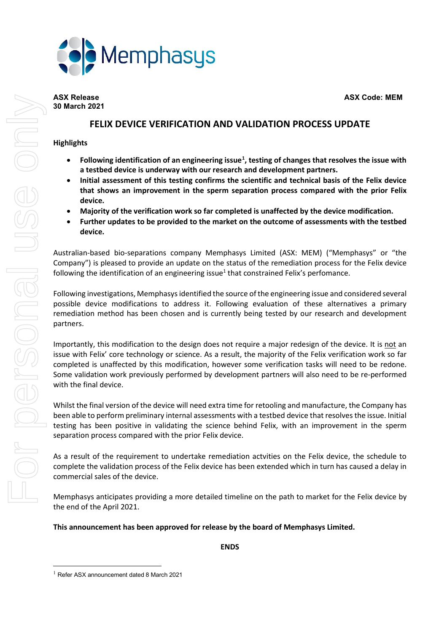



# **30 March 2021**

# **FELIX DEVICE VERIFICATION AND VALIDATION PROCESS UPDATE**

# **Highlights**

- **Following identification of an engineering issue[1](#page-0-0) , testing of changes that resolves the issue with a testbed device is underway with our research and development partners.**
- **Initial assessment of this testing confirms the scientific and technical basis of the Felix device that shows an improvement in the sperm separation process compared with the prior Felix device.**
- **Majority of the verification work so far completed is unaffected by the device modification.**
- **Further updates to be provided to the market on the outcome of assessments with the testbed device.**

Australian-based bio-separations company Memphasys Limited (ASX: MEM) ("Memphasys" or "the Company") is pleased to provide an update on the status of the remediation process for the Felix device following the identification of an engineering issue $1$  that constrained Felix's perfomance.

Following investigations, Memphasys identified the source of the engineering issue and considered several possible device modifications to address it. Following evaluation of these alternatives a primary remediation method has been chosen and is currently being tested by our research and development partners.

Importantly, this modification to the design does not require a major redesign of the device. It is not an issue with Felix' core technology or science. As a result, the majority of the Felix verification work so far completed is unaffected by this modification, however some verification tasks will need to be redone. Some validation work previously performed by development partners will also need to be re-performed with the final device.

Whilst the final version of the device will need extra time for retooling and manufacture, the Company has been able to perform preliminary internal assessments with a testbed device that resolves the issue. Initial testing has been positive in validating the science behind Felix, with an improvement in the sperm separation process compared with the prior Felix device.

As a result of the requirement to undertake remediation actvities on the Felix device, the schedule to complete the validation process of the Felix device has been extended which in turn has caused a delay in commercial sales of the device.

Memphasys anticipates providing a more detailed timeline on the path to market for the Felix device by the end of the April 2021.

# **This announcement has been approved for release by the board of Memphasys Limited.**

**ENDS**

<span id="page-0-0"></span><sup>1</sup> Refer ASX announcement dated 8 March 2021